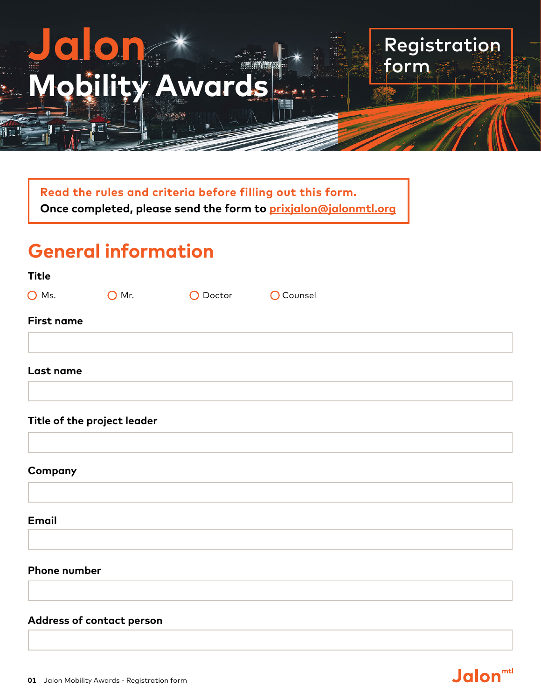# **Jalon Mobility Awards**

**Read the rules and criteria before filling out this form. Once completed, please send the form to [prixjalon@jalonmtl.org](mailto:prixjalon@jalonmtl.org)**

## **General information**

| Title          |                |                    |  |
|----------------|----------------|--------------------|--|
| $\bigcirc$ Ms. | $\bigcirc$ Mr. | O Doctor O Counsel |  |
| First name     |                |                    |  |
| Last name      |                |                    |  |
|                |                |                    |  |

Registration

**Jalon**<sup>mtl</sup>

form

#### **Title of the project leader**

**Company**

**Email**

#### **Phone number**

#### **Address of contact person**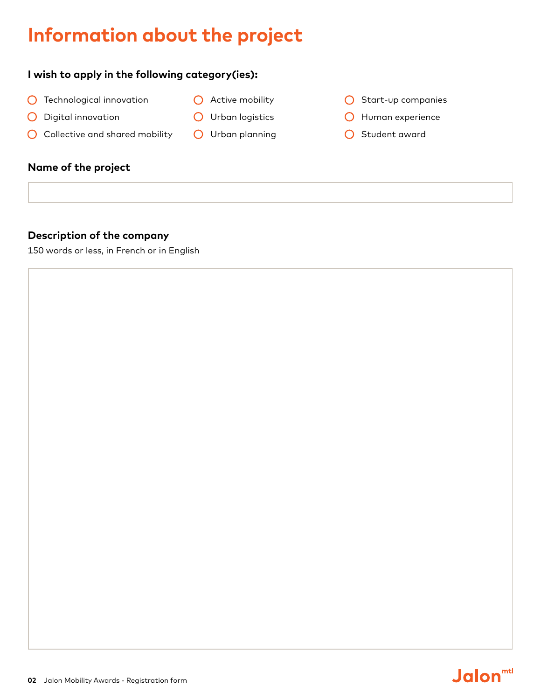## **Information about the project**

#### **I wish to apply in the following category(ies):**

- **O** Technological innovation
- O Digital innovation
- **O** Urban logistics

**O** Active mobility

O Collective and shared mobility O Urban planning

#### **Name of the project**

#### **Description of the company**

150 words or less, in French or in English

- $O$  Start-up companies
- **O** Human experience
- O Student award

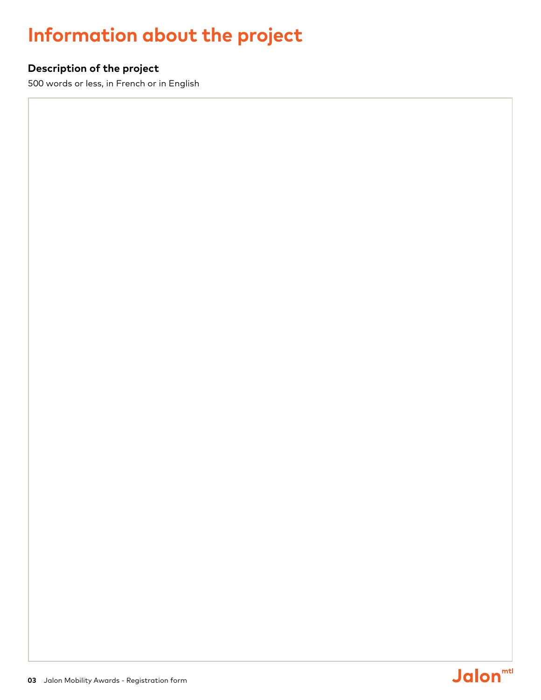## **Information about the project**

#### **Description of the project**

500 words or less, in French or in English